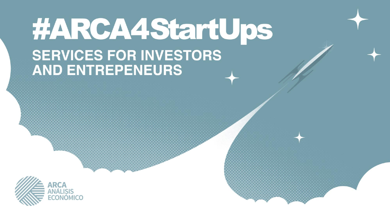#### #ARCA4StartUps **SERVICES FOR INVESTORS AND ENTREPENEURS**

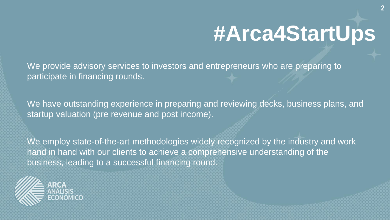# **#Arca4StartUps**

**2**

We provide advisory services to investors and entrepreneurs who are preparing to participate in financing rounds.

We have outstanding experience in preparing and reviewing decks, business plans, and startup valuation (pre revenue and post income).

We employ state-of-the-art methodologies widely recognized by the industry and work hand in hand with our clients to achieve a comprehensive understanding of the business, leading to a successful financing round.

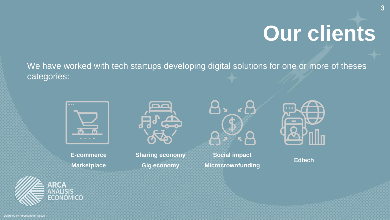# **Our clients**

We have worked with tech startups developing digital solutions for one or more of theses categories:



**E-commerce Marketplace**

**ARCA ANÁLISIS** ECONÓMICO



**Sharing economy Gig economy**



**Social impact Microcrownfunding**



**Edtech**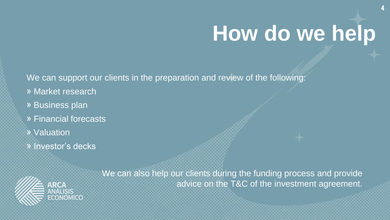## **How do we help**

**4**

We can support our clients in the preparation and review of the following:

- » Market research
- » Business plan
- » Financial forecasts
- » Valuation
- » Investor's decks

We can also help our clients during the funding process and provide advice on the T&C of the investment agreement.

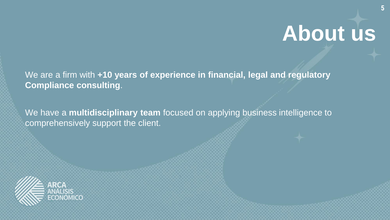### **About us**

We are a firm with **+10 years of experience in financial, legal and regulatory Compliance consulting**.

We have a **multidisciplinary team** focused on applying business intelligence to comprehensively support the client.

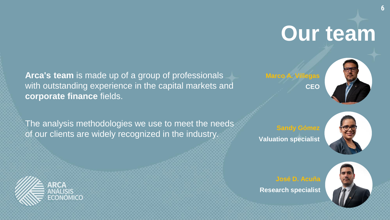## **Our team**

**Arca's team** is made up of a group of professionals with outstanding experience in the capital markets and **corporate finance** fields.

The analysis methodologies we use to meet the needs of our clients are widely recognized in the industry.





**Valuation specialist**





**José D. Acuña**

**Research specialist**